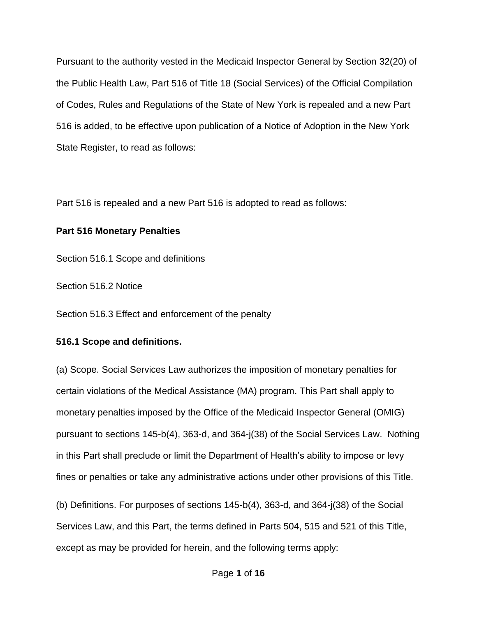of Codes, Rules and Regulations of the State of New York is repealed and a new Part 516 is added, to be effective upon publication of a Notice of Adoption in the New York Pursuant to the authority vested in the Medicaid Inspector General by Section 32(20) of the Public Health Law, Part 516 of Title 18 (Social Services) of the Official Compilation State Register, to read as follows:

Part 516 is repealed and a new Part 516 is adopted to read as follows:

## **Part 516 Monetary Penalties**

Section 516.1 Scope and definitions

Section 516.2 Notice

Section 516.3 Effect and enforcement of the penalty

# **516.1 Scope and definitions.**

(a) Scope. Social Services Law authorizes the imposition of monetary penalties for certain violations of the Medical Assistance (MA) program. This Part shall apply to monetary penalties imposed by the Office of the Medicaid Inspector General (OMIG) pursuant to sections 145-b(4), 363-d, and 364-j(38) of the Social Services Law. Nothing in this Part shall preclude or limit the Department of Health's ability to impose or levy fines or penalties or take any administrative actions under other provisions of this Title.

(b) Definitions. For purposes of sections 145-b(4), 363-d, and 364-j(38) of the Social Services Law, and this Part, the terms defined in Parts 504, 515 and 521 of this Title, except as may be provided for herein, and the following terms apply: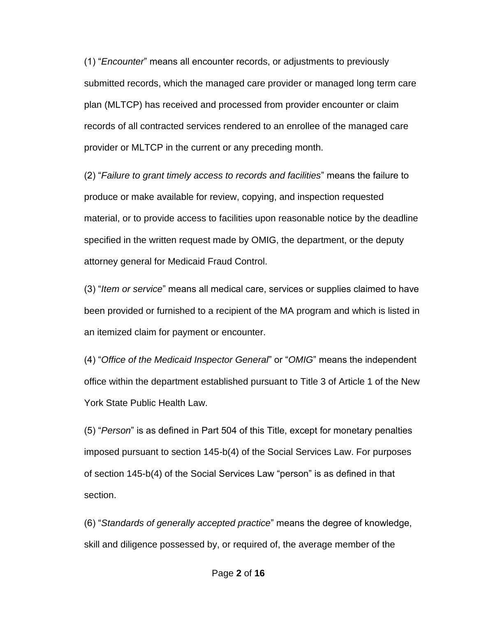plan (MLTCP) has received and processed from provider encounter or claim records of all contracted services rendered to an enrollee of the managed care (1) "*Encounter*" means all encounter records, or adjustments to previously submitted records, which the managed care provider or managed long term care provider or MLTCP in the current or any preceding month.

 material, or to provide access to facilities upon reasonable notice by the deadline (2) "*Failure to grant timely access to records and facilities*" means the failure to produce or make available for review, copying, and inspection requested specified in the written request made by OMIG, the department, or the deputy attorney general for Medicaid Fraud Control.

 been provided or furnished to a recipient of the MA program and which is listed in (3) "*Item or service*" means all medical care, services or supplies claimed to have an itemized claim for payment or encounter.

(4) "*Office of the Medicaid Inspector General*" or "*OMIG*" means the independent office within the department established pursuant to Title 3 of Article 1 of the New York State Public Health Law.

section. (5) "*Person*" is as defined in Part 504 of this Title, except for monetary penalties imposed pursuant to section 145-b(4) of the Social Services Law. For purposes of section 145-b(4) of the Social Services Law "person" is as defined in that

 skill and diligence possessed by, or required of, the average member of the (6) "*Standards of generally accepted practice*" means the degree of knowledge,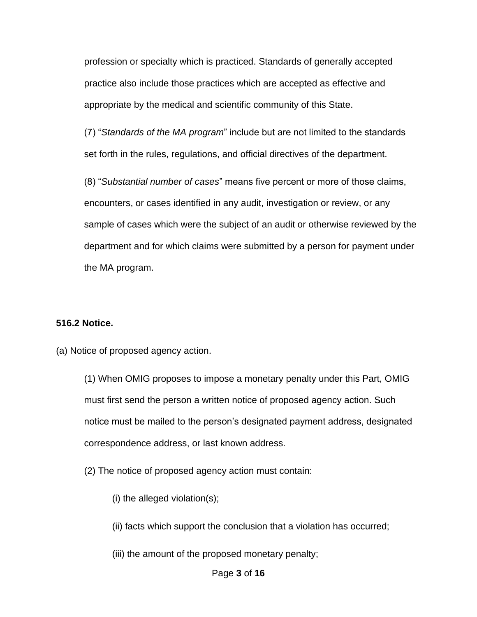appropriate by the medical and scientific community of this State. profession or specialty which is practiced. Standards of generally accepted practice also include those practices which are accepted as effective and

(7) "*Standards of the MA program*" include but are not limited to the standards set forth in the rules, regulations, and official directives of the department.

 sample of cases which were the subject of an audit or otherwise reviewed by the (8) "*Substantial number of cases*" means five percent or more of those claims, encounters, or cases identified in any audit, investigation or review, or any department and for which claims were submitted by a person for payment under the MA program.

#### **516.2 Notice.**

(a) Notice of proposed agency action.

 (1) When OMIG proposes to impose a monetary penalty under this Part, OMIG notice must be mailed to the person's designated payment address, designated must first send the person a written notice of proposed agency action. Such correspondence address, or last known address.

- (2) The notice of proposed agency action must contain:
	- (i) the alleged violation(s);
	- (ii) facts which support the conclusion that a violation has occurred;
	- (iii) the amount of the proposed monetary penalty;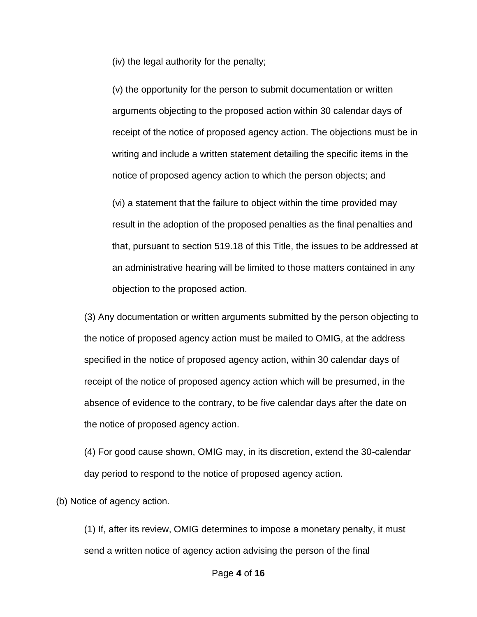(iv) the legal authority for the penalty;

 (v) the opportunity for the person to submit documentation or written notice of proposed agency action to which the person objects; and arguments objecting to the proposed action within 30 calendar days of receipt of the notice of proposed agency action. The objections must be in writing and include a written statement detailing the specific items in the

 result in the adoption of the proposed penalties as the final penalties and (vi) a statement that the failure to object within the time provided may that, pursuant to section 519.18 of this Title, the issues to be addressed at an administrative hearing will be limited to those matters contained in any objection to the proposed action.

(3) Any documentation or written arguments submitted by the person objecting to the notice of proposed agency action must be mailed to OMIG, at the address specified in the notice of proposed agency action, within 30 calendar days of receipt of the notice of proposed agency action which will be presumed, in the absence of evidence to the contrary, to be five calendar days after the date on the notice of proposed agency action.

 (4) For good cause shown, OMIG may, in its discretion, extend the 30-calendar day period to respond to the notice of proposed agency action.

(b) Notice of agency action.

(1) If, after its review, OMIG determines to impose a monetary penalty, it must send a written notice of agency action advising the person of the final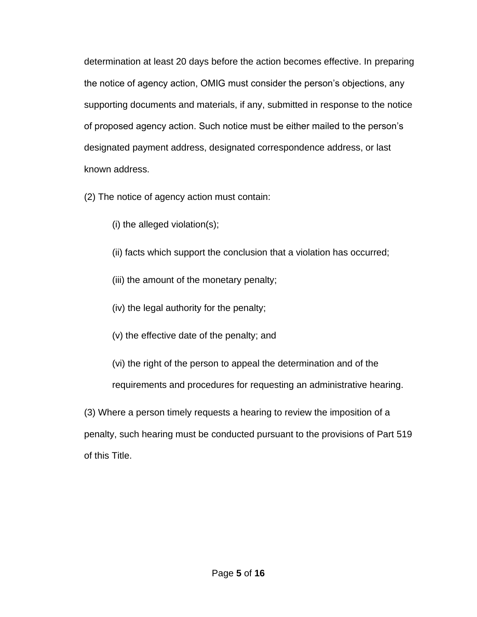of proposed agency action. Such notice must be either mailed to the person's determination at least 20 days before the action becomes effective. In preparing the notice of agency action, OMIG must consider the person's objections, any supporting documents and materials, if any, submitted in response to the notice designated payment address, designated correspondence address, or last known address.

(2) The notice of agency action must contain:

(i) the alleged violation(s);

- (ii) facts which support the conclusion that a violation has occurred;
- (iii) the amount of the monetary penalty;
- (iv) the legal authority for the penalty;
- (v) the effective date of the penalty; and
- (vi) the right of the person to appeal the determination and of the

requirements and procedures for requesting an administrative hearing.

 penalty, such hearing must be conducted pursuant to the provisions of Part 519 (3) Where a person timely requests a hearing to review the imposition of a of this Title.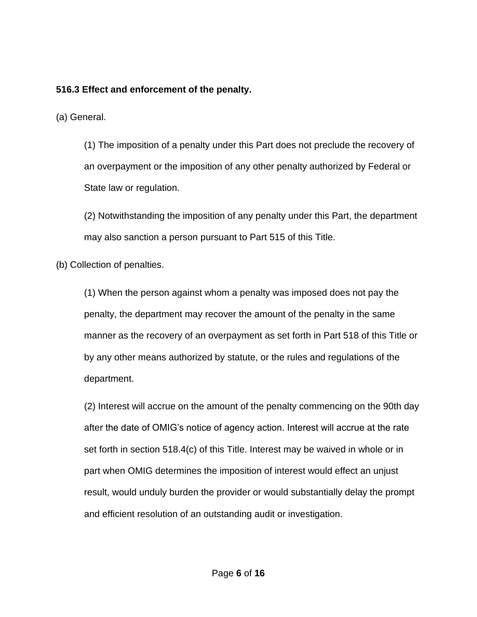## **516.3 Effect and enforcement of the penalty.**

(a) General.

 (1) The imposition of a penalty under this Part does not preclude the recovery of an overpayment or the imposition of any other penalty authorized by Federal or State law or regulation.

(2) Notwithstanding the imposition of any penalty under this Part, the department may also sanction a person pursuant to Part 515 of this Title.

(b) Collection of penalties.

 penalty, the department may recover the amount of the penalty in the same manner as the recovery of an overpayment as set forth in Part 518 of this Title or (1) When the person against whom a penalty was imposed does not pay the by any other means authorized by statute, or the rules and regulations of the department.

 (2) Interest will accrue on the amount of the penalty commencing on the 90th day after the date of OMIG's notice of agency action. Interest will accrue at the rate set forth in section 518.4(c) of this Title. Interest may be waived in whole or in part when OMIG determines the imposition of interest would effect an unjust result, would unduly burden the provider or would substantially delay the prompt and efficient resolution of an outstanding audit or investigation.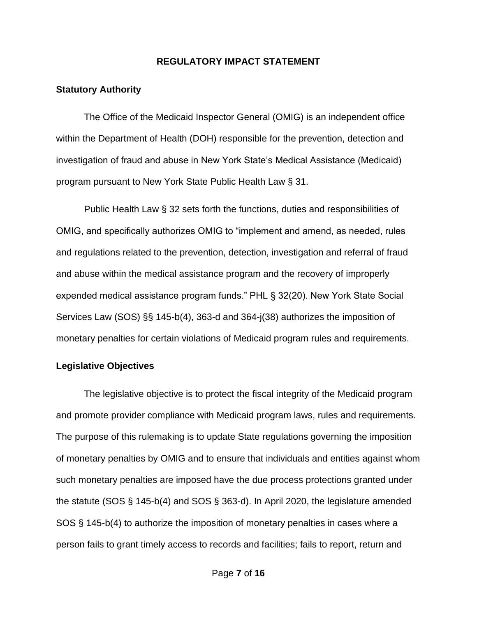#### **REGULATORY IMPACT STATEMENT**

#### **Statutory Authority**

 within the Department of Health (DOH) responsible for the prevention, detection and investigation of fraud and abuse in New York State's Medical Assistance (Medicaid) The Office of the Medicaid Inspector General (OMIG) is an independent office program pursuant to New York State Public Health Law § 31.

 and abuse within the medical assistance program and the recovery of improperly Services Law (SOS) §§ 145-b(4), 363-d and 364-j(38) authorizes the imposition of Public Health Law § 32 sets forth the functions, duties and responsibilities of OMIG, and specifically authorizes OMIG to "implement and amend, as needed, rules and regulations related to the prevention, detection, investigation and referral of fraud expended medical assistance program funds." PHL § 32(20). New York State Social monetary penalties for certain violations of Medicaid program rules and requirements.

#### **Legislative Objectives**

 of monetary penalties by OMIG and to ensure that individuals and entities against whom the statute (SOS § 145-b(4) and SOS § 363-d). In April 2020, the legislature amended The legislative objective is to protect the fiscal integrity of the Medicaid program and promote provider compliance with Medicaid program laws, rules and requirements. The purpose of this rulemaking is to update State regulations governing the imposition such monetary penalties are imposed have the due process protections granted under SOS § 145-b(4) to authorize the imposition of monetary penalties in cases where a person fails to grant timely access to records and facilities; fails to report, return and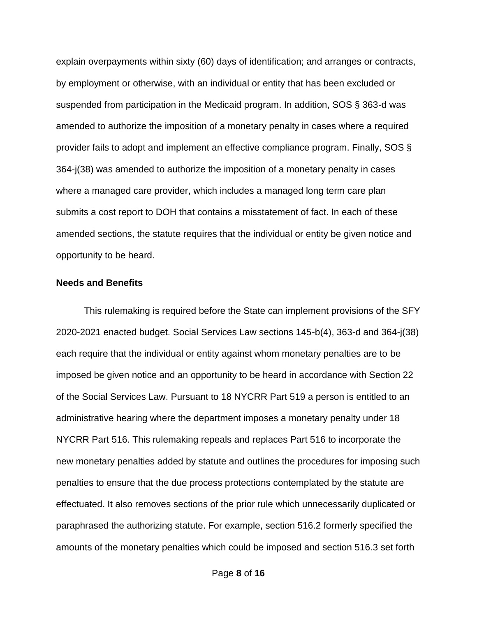amended sections, the statute requires that the individual or entity be given notice and opportunity to be heard. explain overpayments within sixty (60) days of identification; and arranges or contracts, by employment or otherwise, with an individual or entity that has been excluded or suspended from participation in the Medicaid program. In addition, SOS § 363-d was amended to authorize the imposition of a monetary penalty in cases where a required provider fails to adopt and implement an effective compliance program. Finally, SOS § 364-j(38) was amended to authorize the imposition of a monetary penalty in cases where a managed care provider, which includes a managed long term care plan submits a cost report to DOH that contains a misstatement of fact. In each of these

#### **Needs and Benefits**

 imposed be given notice and an opportunity to be heard in accordance with Section 22 This rulemaking is required before the State can implement provisions of the SFY 2020-2021 enacted budget. Social Services Law sections 145-b(4), 363-d and 364-j(38) each require that the individual or entity against whom monetary penalties are to be of the Social Services Law. Pursuant to 18 NYCRR Part 519 a person is entitled to an administrative hearing where the department imposes a monetary penalty under 18 NYCRR Part 516. This rulemaking repeals and replaces Part 516 to incorporate the new monetary penalties added by statute and outlines the procedures for imposing such penalties to ensure that the due process protections contemplated by the statute are effectuated. It also removes sections of the prior rule which unnecessarily duplicated or paraphrased the authorizing statute. For example, section 516.2 formerly specified the amounts of the monetary penalties which could be imposed and section 516.3 set forth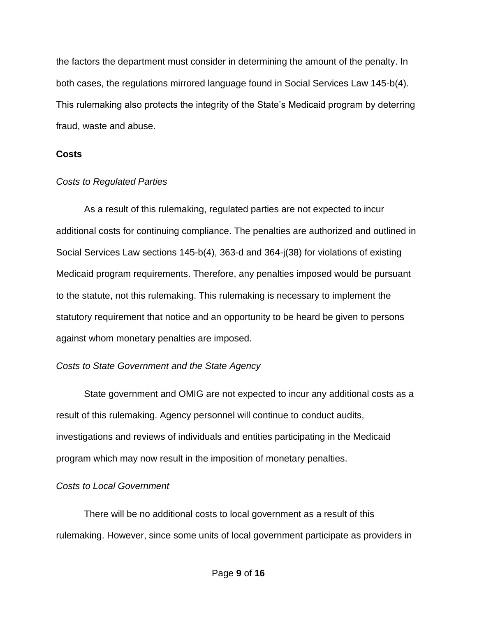the factors the department must consider in determining the amount of the penalty. In both cases, the regulations mirrored language found in Social Services Law 145-b(4). This rulemaking also protects the integrity of the State's Medicaid program by deterring fraud, waste and abuse.

#### **Costs**

#### *Costs to Regulated Parties*

 additional costs for continuing compliance. The penalties are authorized and outlined in As a result of this rulemaking, regulated parties are not expected to incur Social Services Law sections 145-b(4), 363-d and 364-j(38) for violations of existing Medicaid program requirements. Therefore, any penalties imposed would be pursuant to the statute, not this rulemaking. This rulemaking is necessary to implement the statutory requirement that notice and an opportunity to be heard be given to persons against whom monetary penalties are imposed.

#### *Costs to State Government and the State Agency*

State government and OMIG are not expected to incur any additional costs as a result of this rulemaking. Agency personnel will continue to conduct audits, investigations and reviews of individuals and entities participating in the Medicaid program which may now result in the imposition of monetary penalties.

#### *Costs to Local Government*

 There will be no additional costs to local government as a result of this rulemaking. However, since some units of local government participate as providers in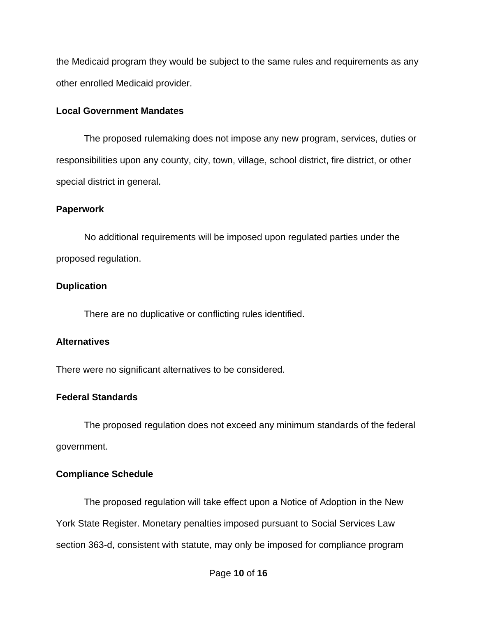the Medicaid program they would be subject to the same rules and requirements as any other enrolled Medicaid provider.

#### **Local Government Mandates**

The proposed rulemaking does not impose any new program, services, duties or responsibilities upon any county, city, town, village, school district, fire district, or other special district in general.

### **Paperwork**

No additional requirements will be imposed upon regulated parties under the proposed regulation.

## **Duplication**

There are no duplicative or conflicting rules identified.

## **Alternatives**

There were no significant alternatives to be considered.

# **Federal Standards**

The proposed regulation does not exceed any minimum standards of the federal government.

# **Compliance Schedule**

The proposed regulation will take effect upon a Notice of Adoption in the New York State Register. Monetary penalties imposed pursuant to Social Services Law section 363-d, consistent with statute, may only be imposed for compliance program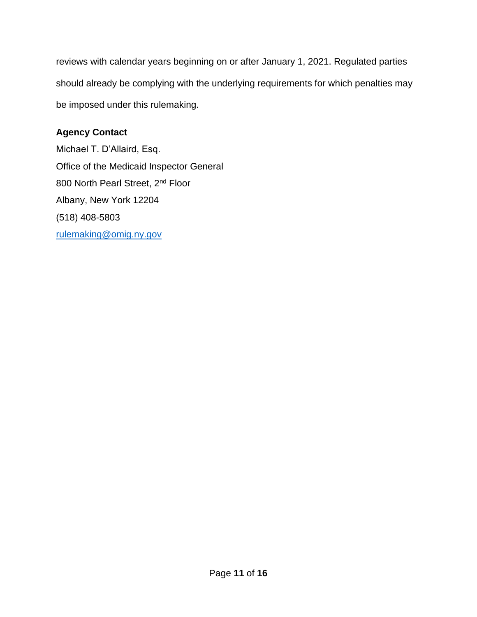reviews with calendar years beginning on or after January 1, 2021. Regulated parties should already be complying with the underlying requirements for which penalties may be imposed under this rulemaking.

# **Agency Contact**

Michael T. D'Allaird, Esq. Office of the Medicaid Inspector General 800 North Pearl Street, 2<sup>nd</sup> Floor Albany, New York 12204 (518) 408-5803 [rulemaking@omig.ny.gov](mailto:rulemaking@omig.ny.gov)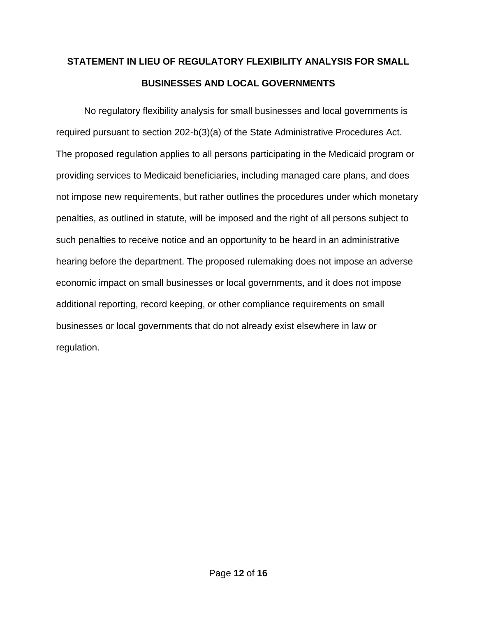# **STATEMENT IN LIEU OF REGULATORY FLEXIBILITY ANALYSIS FOR SMALL BUSINESSES AND LOCAL GOVERNMENTS**

 providing services to Medicaid beneficiaries, including managed care plans, and does penalties, as outlined in statute, will be imposed and the right of all persons subject to such penalties to receive notice and an opportunity to be heard in an administrative No regulatory flexibility analysis for small businesses and local governments is required pursuant to section 202-b(3)(a) of the State Administrative Procedures Act. The proposed regulation applies to all persons participating in the Medicaid program or not impose new requirements, but rather outlines the procedures under which monetary hearing before the department. The proposed rulemaking does not impose an adverse economic impact on small businesses or local governments, and it does not impose additional reporting, record keeping, or other compliance requirements on small businesses or local governments that do not already exist elsewhere in law or regulation.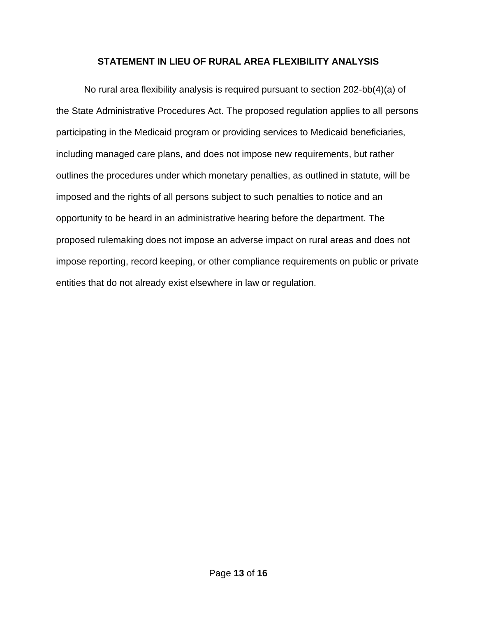## **STATEMENT IN LIEU OF RURAL AREA FLEXIBILITY ANALYSIS**

 the State Administrative Procedures Act. The proposed regulation applies to all persons opportunity to be heard in an administrative hearing before the department. The No rural area flexibility analysis is required pursuant to section 202-bb(4)(a) of participating in the Medicaid program or providing services to Medicaid beneficiaries, including managed care plans, and does not impose new requirements, but rather outlines the procedures under which monetary penalties, as outlined in statute, will be imposed and the rights of all persons subject to such penalties to notice and an proposed rulemaking does not impose an adverse impact on rural areas and does not impose reporting, record keeping, or other compliance requirements on public or private entities that do not already exist elsewhere in law or regulation.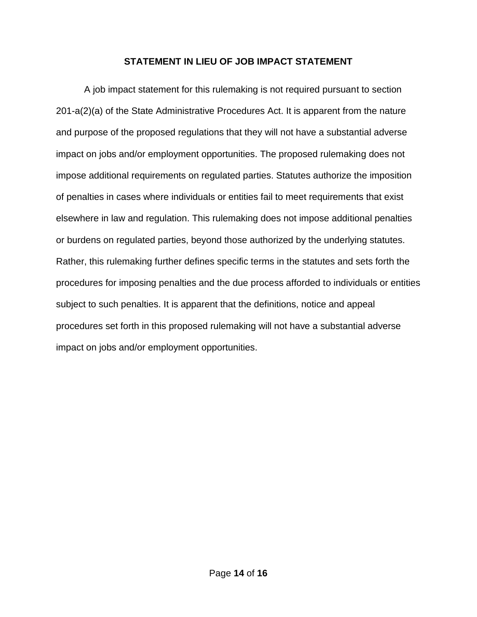### **STATEMENT IN LIEU OF JOB IMPACT STATEMENT**

 and purpose of the proposed regulations that they will not have a substantial adverse Rather, this rulemaking further defines specific terms in the statutes and sets forth the subject to such penalties. It is apparent that the definitions, notice and appeal A job impact statement for this rulemaking is not required pursuant to section 201-a(2)(a) of the State Administrative Procedures Act. It is apparent from the nature impact on jobs and/or employment opportunities. The proposed rulemaking does not impose additional requirements on regulated parties. Statutes authorize the imposition of penalties in cases where individuals or entities fail to meet requirements that exist elsewhere in law and regulation. This rulemaking does not impose additional penalties or burdens on regulated parties, beyond those authorized by the underlying statutes. procedures for imposing penalties and the due process afforded to individuals or entities procedures set forth in this proposed rulemaking will not have a substantial adverse impact on jobs and/or employment opportunities.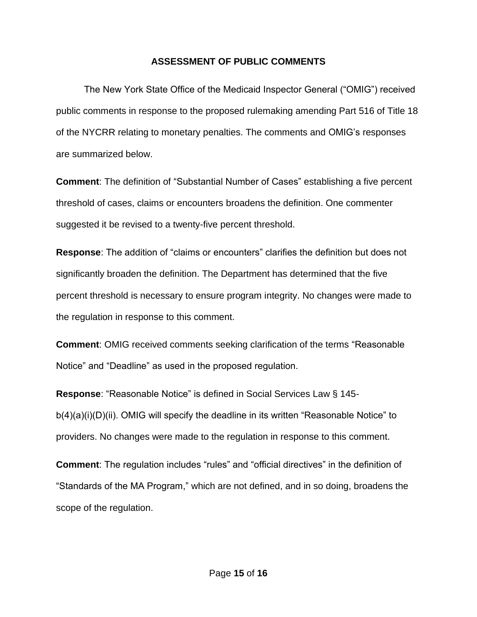### **ASSESSMENT OF PUBLIC COMMENTS**

 public comments in response to the proposed rulemaking amending Part 516 of Title 18 of the NYCRR relating to monetary penalties. The comments and OMIG's responses The New York State Office of the Medicaid Inspector General ("OMIG") received are summarized below.

**Comment**: The definition of "Substantial Number of Cases" establishing a five percent threshold of cases, claims or encounters broadens the definition. One commenter suggested it be revised to a twenty-five percent threshold.

 significantly broaden the definition. The Department has determined that the five percent threshold is necessary to ensure program integrity. No changes were made to **Response**: The addition of "claims or encounters" clarifies the definition but does not the regulation in response to this comment.

**Comment**: OMIG received comments seeking clarification of the terms "Reasonable Notice" and "Deadline" as used in the proposed regulation.

**Response**: "Reasonable Notice" is defined in Social Services Law § 145 b(4)(a)(i)(D)(ii). OMIG will specify the deadline in its written "Reasonable Notice" to providers. No changes were made to the regulation in response to this comment.

 **Comment**: The regulation includes "rules" and "official directives" in the definition of "Standards of the MA Program," which are not defined, and in so doing, broadens the scope of the regulation.